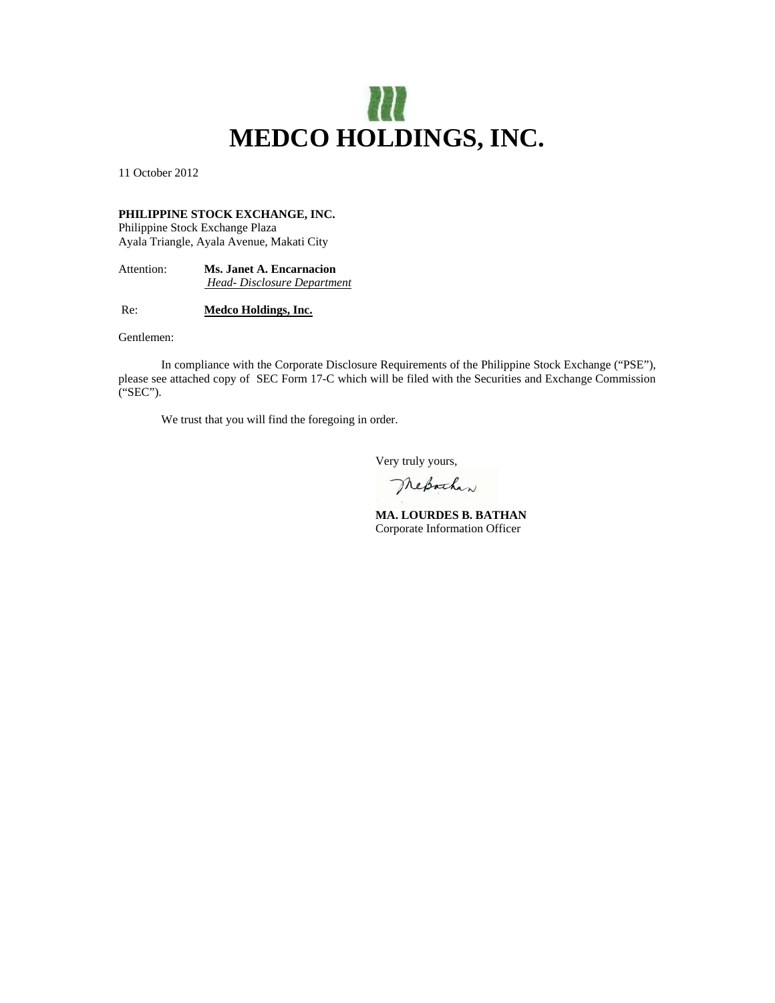

11 October 2012

# **PHILIPPINE STOCK EXCHANGE, INC.**

Philippine Stock Exchange Plaza Ayala Triangle, Ayala Avenue, Makati City

Attention: **Ms. Janet A. Encarnacion**   *Head- Disclosure Department*

Re: **Medco Holdings, Inc.**

Gentlemen:

 In compliance with the Corporate Disclosure Requirements of the Philippine Stock Exchange ("PSE"), please see attached copy of SEC Form 17-C which will be filed with the Securities and Exchange Commission ("SEC").

We trust that you will find the foregoing in order.

Very truly yours,

Mesachan

 **MA. LOURDES B. BATHAN**  Corporate Information Officer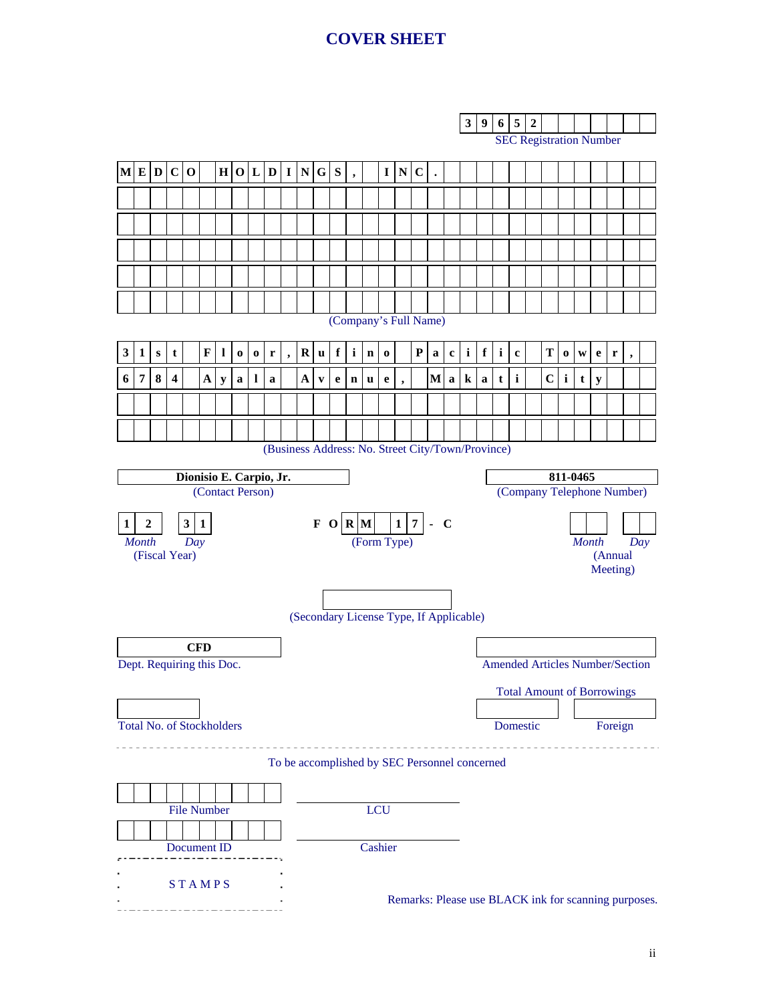# **COVER SHEET**

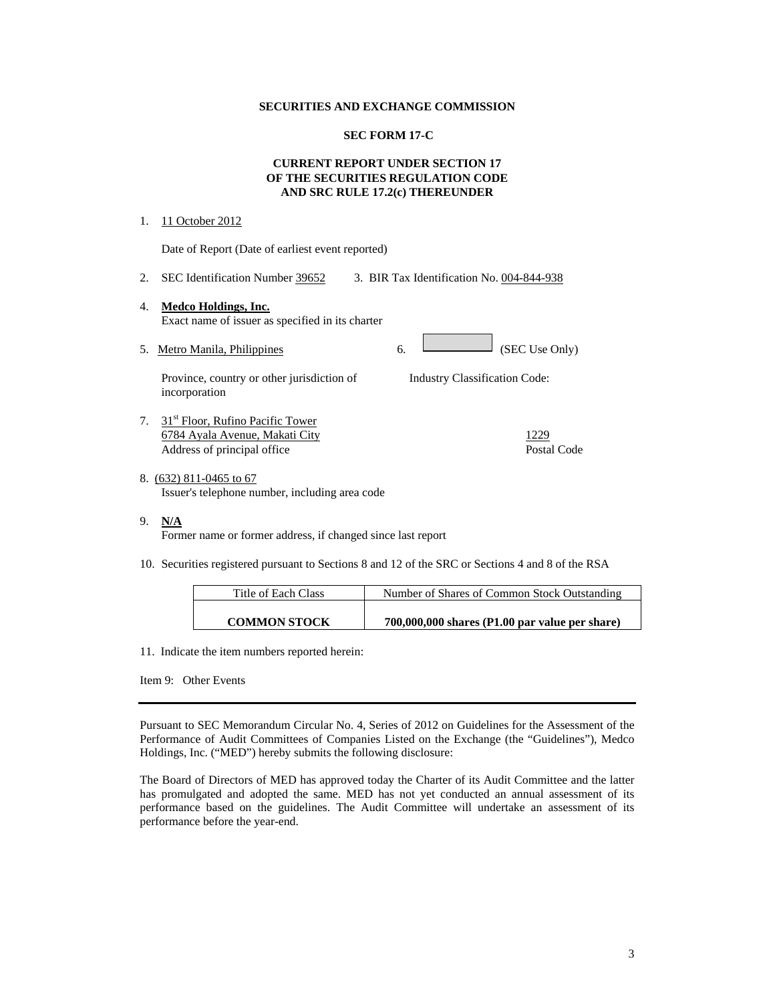#### **SECURITIES AND EXCHANGE COMMISSION**

# **SEC FORM 17-C**

# **CURRENT REPORT UNDER SECTION 17 OF THE SECURITIES REGULATION CODE AND SRC RULE 17.2(c) THEREUNDER**

#### 1. 11 October 2012

Date of Report (Date of earliest event reported)

2. SEC Identification Number 39652 3. BIR Tax Identification No. 004-844-938

### 4. **Medco Holdings, Inc.** Exact name of issuer as specified in its charter

5. Metro Manila, Philippines 6. (SEC Use Only)

Province, country or other jurisdiction of incorporation

- 7. 31<sup>st</sup> Floor, Rufino Pacific Tower 6784 Ayala Avenue, Makati City 1229 Address of principal office Postal Code Postal Code
- 8. (632) 811-0465 to 67 Issuer's telephone number, including area code
- 9. **N/A**

Former name or former address, if changed since last report

10. Securities registered pursuant to Sections 8 and 12 of the SRC or Sections 4 and 8 of the RSA

| Title of Each Class | Number of Shares of Common Stock Outstanding     |
|---------------------|--------------------------------------------------|
|                     |                                                  |
| <b>COMMON STOCK</b> | $700,000,000$ shares (P1.00 par value per share) |

Industry Classification Code:

11. Indicate the item numbers reported herein:

Item 9: Other Events

Pursuant to SEC Memorandum Circular No. 4, Series of 2012 on Guidelines for the Assessment of the Performance of Audit Committees of Companies Listed on the Exchange (the "Guidelines"), Medco Holdings, Inc. ("MED") hereby submits the following disclosure:

The Board of Directors of MED has approved today the Charter of its Audit Committee and the latter has promulgated and adopted the same. MED has not yet conducted an annual assessment of its performance based on the guidelines. The Audit Committee will undertake an assessment of its performance before the year-end.